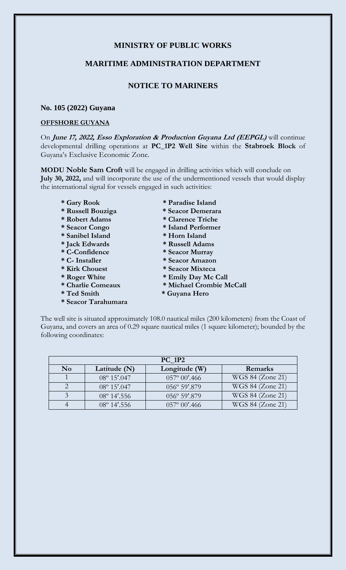# **MINISTRY OF PUBLIC WORKS**

### **MARITIME ADMINISTRATION DEPARTMENT**

## **NOTICE TO MARINERS**

#### **No. 105 (2022) Guyana**

#### **OFFSHORE GUYANA**

On **June 17, 2022, Esso Exploration & Production Guyana Ltd (EEPGL)** will continue developmental drilling operations at **PC\_1P2 Well Site** within the **Stabroek Block** of Guyana's Exclusive Economic Zone.

**MODU Noble Sam Croft** will be engaged in drilling activities which will conclude on **July 30, 2022,** and will incorporate the use of the undermentioned vessels that would display the international signal for vessels engaged in such activities:

- 
- **\* Russell Bouziga \* Seacor Demerara**
- **\* Robert Adams \* Clarence Triche**
- 
- 
- 
- 
- 
- 
- 
- 
- 
- **\* Seacor Tarahumara**
- **\* Gary Rook \* Paradise Island**
	-
	-
- **\* Seacor Congo \* Island Performer**
- **\* Sanibel Island \* Horn Island**
- **\* Jack Edwards \* Russell Adams**
- **\* C-Confidence \* Seacor Murray**
- **\* C- Installer \* Seacor Amazon**
- **\* Kirk Chouest \* Seacor Mixteca** 
	-
- \* Roger White \* Emily Day Mc Call<br>\* Charlie Comeaux \* Michael Crombie M  $*$  Michael Crombie McCall
- **\* Ted Smith \* Guyana Hero**

The well site is situated approximately 108.0 nautical miles (200 kilometers) from the Coast of Guyana, and covers an area of 0.29 square nautical miles (1 square kilometer); bounded by the following coordinates:

| <b>PC 1P2</b>  |                        |                         |                  |
|----------------|------------------------|-------------------------|------------------|
| N <sub>0</sub> | Latitude (N)           | Longitude (W)           | Remarks          |
|                | $08^{\circ} 15' . 047$ | $057^{\circ} 00'$ .466  | WGS 84 (Zone 21) |
|                | $08^{\circ} 15' . 047$ | 056° 59'.879            | WGS 84 (Zone 21) |
|                | $08^{\circ}$ 14'.556   | 056° 59'.879            | WGS 84 (Zone 21) |
|                | $08^{\circ}$ 14'.556   | $0.57^{\circ} 00'$ .466 | WGS 84 (Zone 21) |